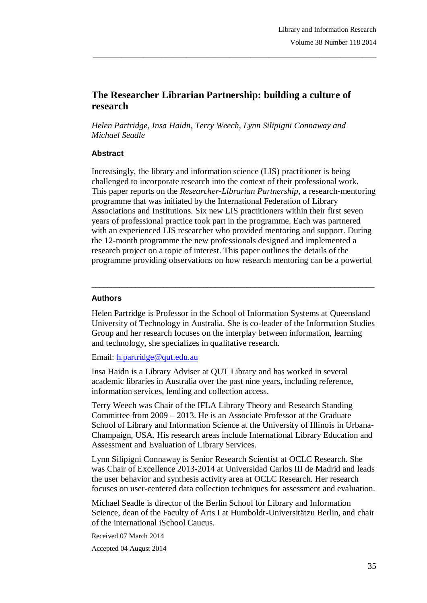# **The Researcher Librarian Partnership: building a culture of research**

\_\_\_\_\_\_\_\_\_\_\_\_\_\_\_\_\_\_\_\_\_\_\_\_\_\_\_\_\_\_\_\_\_\_\_\_\_\_\_\_\_\_\_\_\_\_\_\_\_\_\_\_\_\_\_\_\_\_\_\_\_\_\_\_\_\_\_\_\_\_\_\_\_\_\_\_\_\_\_

*Helen Partridge, Insa Haidn, Terry Weech, Lynn Silipigni Connaway and Michael Seadle*

#### **Abstract**

Increasingly, the library and information science (LIS) practitioner is being challenged to incorporate research into the context of their professional work. This paper reports on the *Researcher-Librarian Partnership*, a research-mentoring programme that was initiated by the International Federation of Library Associations and Institutions. Six new LIS practitioners within their first seven years of professional practice took part in the programme. Each was partnered with an experienced LIS researcher who provided mentoring and support. During the 12-month programme the new professionals designed and implemented a research project on a topic of interest. This paper outlines the details of the programme providing observations on how research mentoring can be a powerful

#### **Authors**

Helen Partridge is Professor in the School of Information Systems at Queensland University of Technology in Australia. She is co-leader of the Information Studies Group and her research focuses on the interplay between information, learning and technology, she specializes in qualitative research.

 $\_$  ,  $\_$  ,  $\_$  ,  $\_$  ,  $\_$  ,  $\_$  ,  $\_$  ,  $\_$  ,  $\_$  ,  $\_$  ,  $\_$  ,  $\_$  ,  $\_$  ,  $\_$  ,  $\_$  ,  $\_$  ,  $\_$  ,  $\_$  ,  $\_$ 

Email: h.partridge@qut.edu.au

Insa Haidn is a Library Adviser at QUT Library and has worked in several academic libraries in Australia over the past nine years, including reference, information services, lending and collection access.

Terry Weech was Chair of the IFLA Library Theory and Research Standing Committee from 2009 – 2013. He is an Associate Professor at the Graduate School of Library and Information Science at the University of Illinois in Urbana-Champaign, USA. His research areas include International Library Education and Assessment and Evaluation of Library Services.

Lynn Silipigni Connaway is Senior Research Scientist at OCLC Research. She was Chair of Excellence 2013-2014 at Universidad Carlos III de Madrid and leads the user behavior and synthesis activity area at OCLC Research. Her research focuses on user-centered data collection techniques for assessment and evaluation.

Michael Seadle is director of the Berlin School for Library and Information Science, dean of the Faculty of Arts I at Humboldt-Universitätzu Berlin, and chair of the international iSchool Caucus.

Received 07 March 2014

Accepted 04 August 2014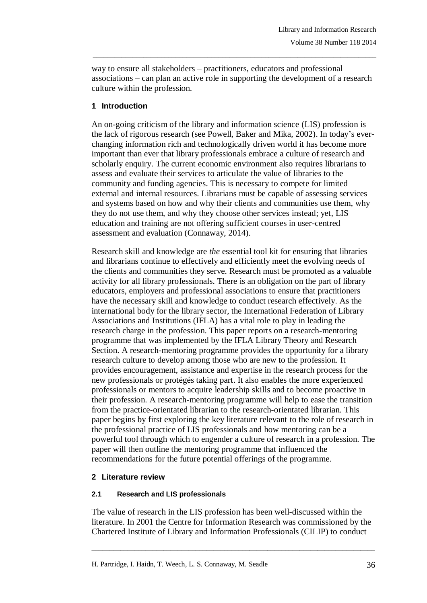way to ensure all stakeholders – practitioners, educators and professional associations – can plan an active role in supporting the development of a research culture within the profession.

\_\_\_\_\_\_\_\_\_\_\_\_\_\_\_\_\_\_\_\_\_\_\_\_\_\_\_\_\_\_\_\_\_\_\_\_\_\_\_\_\_\_\_\_\_\_\_\_\_\_\_\_\_\_\_\_\_\_\_\_\_\_\_\_\_\_\_\_\_\_\_\_\_\_\_\_\_\_\_

# **1 Introduction**

An on-going criticism of the library and information science (LIS) profession is the lack of rigorous research (see Powell, Baker and Mika, 2002). In today's everchanging information rich and technologically driven world it has become more important than ever that library professionals embrace a culture of research and scholarly enquiry. The current economic environment also requires librarians to assess and evaluate their services to articulate the value of libraries to the community and funding agencies. This is necessary to compete for limited external and internal resources. Librarians must be capable of assessing services and systems based on how and why their clients and communities use them, why they do not use them, and why they choose other services instead; yet, LIS education and training are not offering sufficient courses in user-centred assessment and evaluation (Connaway, 2014).

Research skill and knowledge are *the* essential tool kit for ensuring that libraries and librarians continue to effectively and efficiently meet the evolving needs of the clients and communities they serve. Research must be promoted as a valuable activity for all library professionals. There is an obligation on the part of library educators, employers and professional associations to ensure that practitioners have the necessary skill and knowledge to conduct research effectively. As the international body for the library sector, the International Federation of Library Associations and Institutions (IFLA) has a vital role to play in leading the research charge in the profession. This paper reports on a research-mentoring programme that was implemented by the IFLA Library Theory and Research Section. A research-mentoring programme provides the opportunity for a library research culture to develop among those who are new to the profession. It provides encouragement, assistance and expertise in the research process for the new professionals or protégés taking part. It also enables the more experienced professionals or mentors to acquire leadership skills and to become proactive in their profession. A research-mentoring programme will help to ease the transition from the practice-orientated librarian to the research-orientated librarian. This paper begins by first exploring the key literature relevant to the role of research in the professional practice of LIS professionals and how mentoring can be a powerful tool through which to engender a culture of research in a profession. The paper will then outline the mentoring programme that influenced the recommendations for the future potential offerings of the programme.

# **2 Literature review**

# **2.1 Research and LIS professionals**

The value of research in the LIS profession has been well-discussed within the literature. In 2001 the Centre for Information Research was commissioned by the Chartered Institute of Library and Information Professionals (CILIP) to conduct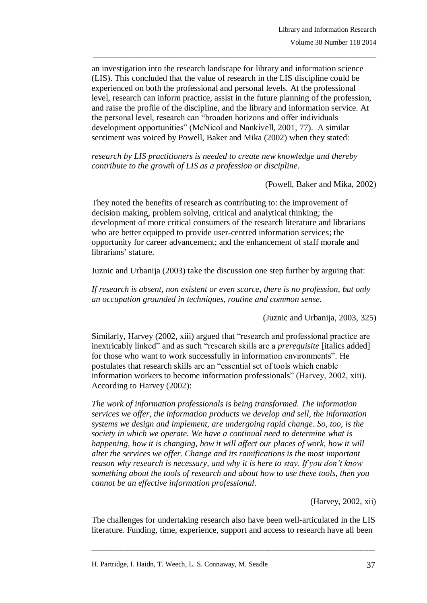an investigation into the research landscape for library and information science (LIS). This concluded that the value of research in the LIS discipline could be experienced on both the professional and personal levels. At the professional level, research can inform practice, assist in the future planning of the profession, and raise the profile of the discipline, and the library and information service. At the personal level, research can "broaden horizons and offer individuals development opportunities" (McNicol and Nankivell, 2001, 77). A similar sentiment was voiced by Powell, Baker and Mika (2002) when they stated:

\_\_\_\_\_\_\_\_\_\_\_\_\_\_\_\_\_\_\_\_\_\_\_\_\_\_\_\_\_\_\_\_\_\_\_\_\_\_\_\_\_\_\_\_\_\_\_\_\_\_\_\_\_\_\_\_\_\_\_\_\_\_\_\_\_\_\_\_\_\_\_\_\_\_\_\_\_\_\_

*research by LIS practitioners is needed to create new knowledge and thereby contribute to the growth of LIS as a profession or discipline.*

(Powell, Baker and Mika, 2002)

They noted the benefits of research as contributing to: the improvement of decision making, problem solving, critical and analytical thinking; the development of more critical consumers of the research literature and librarians who are better equipped to provide user-centred information services; the opportunity for career advancement; and the enhancement of staff morale and librarians' stature.

Juznic and Urbanija (2003) take the discussion one step further by arguing that:

*If research is absent, non existent or even scarce, there is no profession, but only an occupation grounded in techniques, routine and common sense.*

(Juznic and Urbanija, 2003, 325)

Similarly, Harvey (2002, xiii) argued that "research and professional practice are inextricably linked" and as such "research skills are a *prerequisite* [italics added] for those who want to work successfully in information environments". He postulates that research skills are an "essential set of tools which enable information workers to become information professionals" (Harvey, 2002, xiii). According to Harvey (2002):

*The work of information professionals is being transformed. The information services we offer, the information products we develop and sell, the information systems we design and implement, are undergoing rapid change. So, too, is the society in which we operate. We have a continual need to determine what is happening, how it is changing, how it will affect our places of work, how it will alter the services we offer. Change and its ramifications is the most important reason why research is necessary, and why it is here to stay. If you don't know something about the tools of research and about how to use these tools, then you cannot be an effective information professional.*

(Harvey, 2002, xii)

The challenges for undertaking research also have been well-articulated in the LIS literature. Funding, time, experience, support and access to research have all been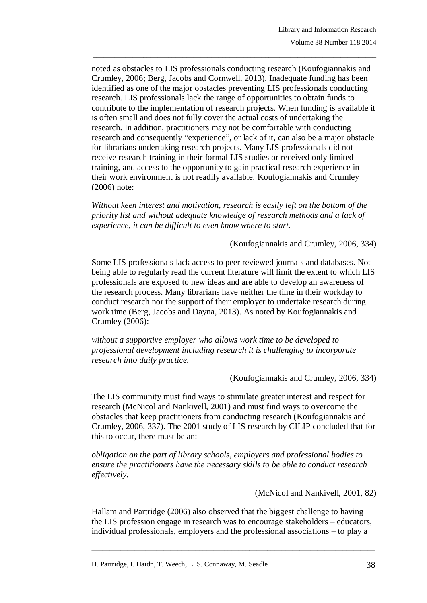noted as obstacles to LIS professionals conducting research (Koufogiannakis and Crumley, 2006; Berg, Jacobs and Cornwell, 2013). Inadequate funding has been identified as one of the major obstacles preventing LIS professionals conducting research. LIS professionals lack the range of opportunities to obtain funds to contribute to the implementation of research projects. When funding is available it is often small and does not fully cover the actual costs of undertaking the research. In addition, practitioners may not be comfortable with conducting research and consequently "experience", or lack of it, can also be a major obstacle for librarians undertaking research projects. Many LIS professionals did not receive research training in their formal LIS studies or received only limited training, and access to the opportunity to gain practical research experience in their work environment is not readily available. Koufogiannakis and Crumley (2006) note:

\_\_\_\_\_\_\_\_\_\_\_\_\_\_\_\_\_\_\_\_\_\_\_\_\_\_\_\_\_\_\_\_\_\_\_\_\_\_\_\_\_\_\_\_\_\_\_\_\_\_\_\_\_\_\_\_\_\_\_\_\_\_\_\_\_\_\_\_\_\_\_\_\_\_\_\_\_\_\_

*Without keen interest and motivation, research is easily left on the bottom of the priority list and without adequate knowledge of research methods and a lack of experience, it can be difficult to even know where to start.*

#### (Koufogiannakis and Crumley, 2006, 334)

Some LIS professionals lack access to peer reviewed journals and databases. Not being able to regularly read the current literature will limit the extent to which LIS professionals are exposed to new ideas and are able to develop an awareness of the research process. Many librarians have neither the time in their workday to conduct research nor the support of their employer to undertake research during work time (Berg, Jacobs and Dayna, 2013). As noted by Koufogiannakis and Crumley (2006):

*without a supportive employer who allows work time to be developed to professional development including research it is challenging to incorporate research into daily practice.*

#### (Koufogiannakis and Crumley, 2006, 334)

The LIS community must find ways to stimulate greater interest and respect for research (McNicol and Nankivell, 2001) and must find ways to overcome the obstacles that keep practitioners from conducting research (Koufogiannakis and Crumley, 2006, 337). The 2001 study of LIS research by CILIP concluded that for this to occur, there must be an:

*obligation on the part of library schools, employers and professional bodies to ensure the practitioners have the necessary skills to be able to conduct research effectively.*

(McNicol and Nankivell, 2001, 82)

Hallam and Partridge (2006) also observed that the biggest challenge to having the LIS profession engage in research was to encourage stakeholders – educators, individual professionals, employers and the professional associations – to play a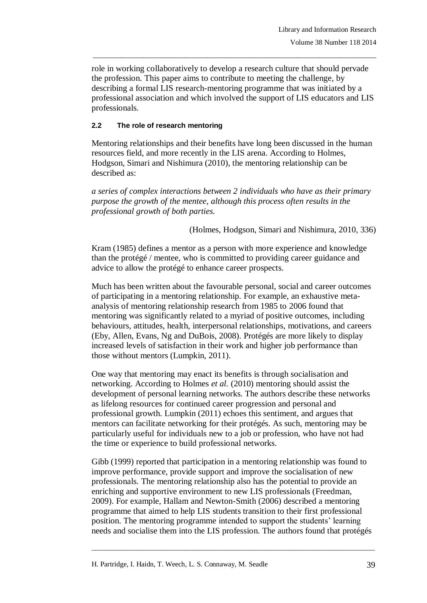role in working collaboratively to develop a research culture that should pervade the profession. This paper aims to contribute to meeting the challenge, by describing a formal LIS research-mentoring programme that was initiated by a professional association and which involved the support of LIS educators and LIS professionals.

\_\_\_\_\_\_\_\_\_\_\_\_\_\_\_\_\_\_\_\_\_\_\_\_\_\_\_\_\_\_\_\_\_\_\_\_\_\_\_\_\_\_\_\_\_\_\_\_\_\_\_\_\_\_\_\_\_\_\_\_\_\_\_\_\_\_\_\_\_\_\_\_\_\_\_\_\_\_\_

#### **2.2 The role of research mentoring**

Mentoring relationships and their benefits have long been discussed in the human resources field, and more recently in the LIS arena. According to Holmes, Hodgson, Simari and Nishimura (2010), the mentoring relationship can be described as:

*a series of complex interactions between 2 individuals who have as their primary purpose the growth of the mentee, although this process often results in the professional growth of both parties.*

(Holmes, Hodgson, Simari and Nishimura, 2010, 336)

Kram (1985) defines a mentor as a person with more experience and knowledge than the protégé / mentee, who is committed to providing career guidance and advice to allow the protégé to enhance career prospects.

Much has been written about the favourable personal, social and career outcomes of participating in a mentoring relationship. For example, an exhaustive metaanalysis of mentoring relationship research from 1985 to 2006 found that mentoring was significantly related to a myriad of positive outcomes, including behaviours, attitudes, health, interpersonal relationships, motivations, and careers (Eby, Allen, Evans, Ng and DuBois, 2008). Protégés are more likely to display increased levels of satisfaction in their work and higher job performance than those without mentors (Lumpkin, 2011).

One way that mentoring may enact its benefits is through socialisation and networking. According to Holmes *et al.* (2010) mentoring should assist the development of personal learning networks. The authors describe these networks as lifelong resources for continued career progression and personal and professional growth. Lumpkin (2011) echoes this sentiment, and argues that mentors can facilitate networking for their protégés. As such, mentoring may be particularly useful for individuals new to a job or profession, who have not had the time or experience to build professional networks.

Gibb (1999) reported that participation in a mentoring relationship was found to improve performance, provide support and improve the socialisation of new professionals. The mentoring relationship also has the potential to provide an enriching and supportive environment to new LIS professionals (Freedman, 2009). For example, Hallam and Newton-Smith (2006) described a mentoring programme that aimed to help LIS students transition to their first professional position. The mentoring programme intended to support the students' learning needs and socialise them into the LIS profession. The authors found that protégés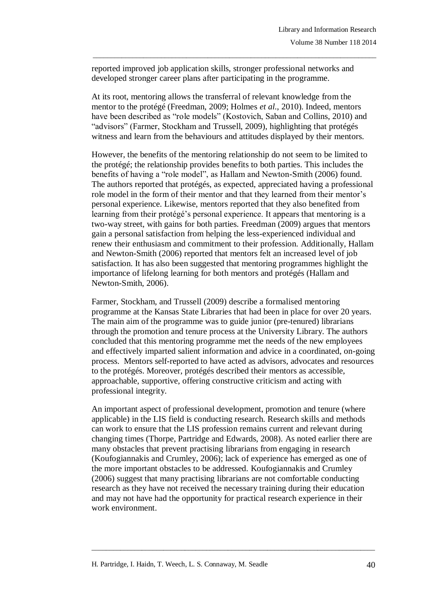reported improved job application skills, stronger professional networks and developed stronger career plans after participating in the programme.

\_\_\_\_\_\_\_\_\_\_\_\_\_\_\_\_\_\_\_\_\_\_\_\_\_\_\_\_\_\_\_\_\_\_\_\_\_\_\_\_\_\_\_\_\_\_\_\_\_\_\_\_\_\_\_\_\_\_\_\_\_\_\_\_\_\_\_\_\_\_\_\_\_\_\_\_\_\_\_

At its root, mentoring allows the transferral of relevant knowledge from the mentor to the protégé (Freedman, 2009; Holmes *et al.*, 2010). Indeed, mentors have been described as "role models" (Kostovich, Saban and Collins, 2010) and "advisors" (Farmer, Stockham and Trussell, 2009), highlighting that protégés witness and learn from the behaviours and attitudes displayed by their mentors.

However, the benefits of the mentoring relationship do not seem to be limited to the protégé; the relationship provides benefits to both parties. This includes the benefits of having a "role model", as Hallam and Newton-Smith (2006) found. The authors reported that protégés, as expected, appreciated having a professional role model in the form of their mentor and that they learned from their mentor's personal experience. Likewise, mentors reported that they also benefited from learning from their protégé's personal experience. It appears that mentoring is a two-way street, with gains for both parties. Freedman (2009) argues that mentors gain a personal satisfaction from helping the less-experienced individual and renew their enthusiasm and commitment to their profession. Additionally, Hallam and Newton-Smith (2006) reported that mentors felt an increased level of job satisfaction. It has also been suggested that mentoring programmes highlight the importance of lifelong learning for both mentors and protégés (Hallam and Newton-Smith, 2006).

Farmer, Stockham, and Trussell (2009) describe a formalised mentoring programme at the Kansas State Libraries that had been in place for over 20 years. The main aim of the programme was to guide junior (pre-tenured) librarians through the promotion and tenure process at the University Library. The authors concluded that this mentoring programme met the needs of the new employees and effectively imparted salient information and advice in a coordinated, on-going process. Mentors self-reported to have acted as advisors, advocates and resources to the protégés. Moreover, protégés described their mentors as accessible, approachable, supportive, offering constructive criticism and acting with professional integrity.

An important aspect of professional development, promotion and tenure (where applicable) in the LIS field is conducting research. Research skills and methods can work to ensure that the LIS profession remains current and relevant during changing times (Thorpe, Partridge and Edwards, 2008). As noted earlier there are many obstacles that prevent practising librarians from engaging in research (Koufogiannakis and Crumley, 2006); lack of experience has emerged as one of the more important obstacles to be addressed. Koufogiannakis and Crumley (2006) suggest that many practising librarians are not comfortable conducting research as they have not received the necessary training during their education and may not have had the opportunity for practical research experience in their work environment.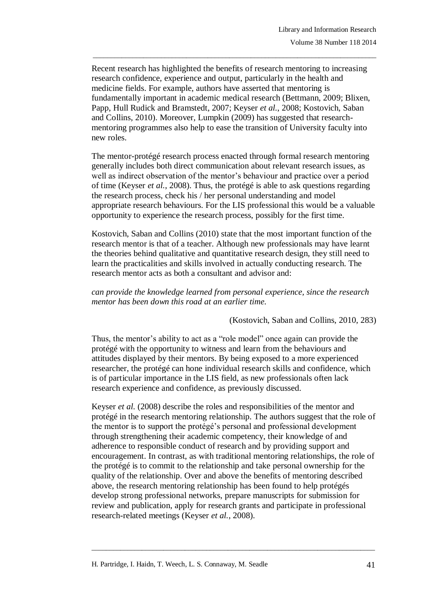Recent research has highlighted the benefits of research mentoring to increasing research confidence, experience and output, particularly in the health and medicine fields. For example, authors have asserted that mentoring is fundamentally important in academic medical research (Bettmann, 2009; Blixen, Papp, Hull Rudick and Bramstedt, 2007; Keyser *et al.*, 2008; Kostovich, Saban and Collins, 2010). Moreover, Lumpkin (2009) has suggested that researchmentoring programmes also help to ease the transition of University faculty into new roles.

\_\_\_\_\_\_\_\_\_\_\_\_\_\_\_\_\_\_\_\_\_\_\_\_\_\_\_\_\_\_\_\_\_\_\_\_\_\_\_\_\_\_\_\_\_\_\_\_\_\_\_\_\_\_\_\_\_\_\_\_\_\_\_\_\_\_\_\_\_\_\_\_\_\_\_\_\_\_\_

The mentor-protégé research process enacted through formal research mentoring generally includes both direct communication about relevant research issues, as well as indirect observation of the mentor's behaviour and practice over a period of time (Keyser *et al.*, 2008). Thus, the protégé is able to ask questions regarding the research process, check his / her personal understanding and model appropriate research behaviours. For the LIS professional this would be a valuable opportunity to experience the research process, possibly for the first time.

Kostovich, Saban and Collins (2010) state that the most important function of the research mentor is that of a teacher. Although new professionals may have learnt the theories behind qualitative and quantitative research design, they still need to learn the practicalities and skills involved in actually conducting research. The research mentor acts as both a consultant and advisor and:

#### *can provide the knowledge learned from personal experience, since the research mentor has been down this road at an earlier time.*

# (Kostovich, Saban and Collins, 2010, 283)

Thus, the mentor's ability to act as a "role model" once again can provide the protégé with the opportunity to witness and learn from the behaviours and attitudes displayed by their mentors. By being exposed to a more experienced researcher, the protégé can hone individual research skills and confidence, which is of particular importance in the LIS field, as new professionals often lack research experience and confidence, as previously discussed.

Keyser *et al.* (2008) describe the roles and responsibilities of the mentor and protégé in the research mentoring relationship. The authors suggest that the role of the mentor is to support the protégé's personal and professional development through strengthening their academic competency, their knowledge of and adherence to responsible conduct of research and by providing support and encouragement. In contrast, as with traditional mentoring relationships, the role of the protégé is to commit to the relationship and take personal ownership for the quality of the relationship. Over and above the benefits of mentoring described above, the research mentoring relationship has been found to help protégés develop strong professional networks, prepare manuscripts for submission for review and publication, apply for research grants and participate in professional research-related meetings (Keyser *et al.*, 2008).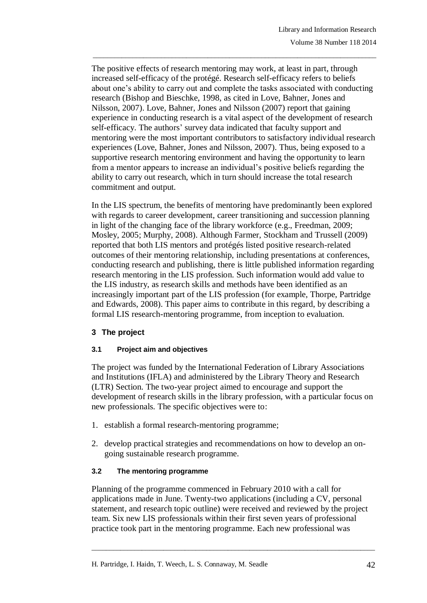The positive effects of research mentoring may work, at least in part, through increased self-efficacy of the protégé. Research self-efficacy refers to beliefs about one's ability to carry out and complete the tasks associated with conducting research (Bishop and Bieschke, 1998, as cited in Love, Bahner, Jones and Nilsson, 2007). Love, Bahner, Jones and Nilsson (2007) report that gaining experience in conducting research is a vital aspect of the development of research self-efficacy. The authors' survey data indicated that faculty support and mentoring were the most important contributors to satisfactory individual research experiences (Love, Bahner, Jones and Nilsson, 2007). Thus, being exposed to a supportive research mentoring environment and having the opportunity to learn from a mentor appears to increase an individual's positive beliefs regarding the ability to carry out research, which in turn should increase the total research commitment and output.

\_\_\_\_\_\_\_\_\_\_\_\_\_\_\_\_\_\_\_\_\_\_\_\_\_\_\_\_\_\_\_\_\_\_\_\_\_\_\_\_\_\_\_\_\_\_\_\_\_\_\_\_\_\_\_\_\_\_\_\_\_\_\_\_\_\_\_\_\_\_\_\_\_\_\_\_\_\_\_

In the LIS spectrum, the benefits of mentoring have predominantly been explored with regards to career development, career transitioning and succession planning in light of the changing face of the library workforce (e.g., Freedman, 2009; Mosley, 2005; Murphy, 2008). Although Farmer, Stockham and Trussell (2009) reported that both LIS mentors and protégés listed positive research-related outcomes of their mentoring relationship, including presentations at conferences, conducting research and publishing, there is little published information regarding research mentoring in the LIS profession. Such information would add value to the LIS industry, as research skills and methods have been identified as an increasingly important part of the LIS profession (for example, Thorpe, Partridge and Edwards, 2008). This paper aims to contribute in this regard, by describing a formal LIS research-mentoring programme, from inception to evaluation.

# **3 The project**

# **3.1 Project aim and objectives**

The project was funded by the International Federation of Library Associations and Institutions (IFLA) and administered by the Library Theory and Research (LTR) Section. The two-year project aimed to encourage and support the development of research skills in the library profession, with a particular focus on new professionals. The specific objectives were to:

- 1. establish a formal research-mentoring programme;
- 2. develop practical strategies and recommendations on how to develop an ongoing sustainable research programme.

#### **3.2 The mentoring programme**

Planning of the programme commenced in February 2010 with a call for applications made in June. Twenty-two applications (including a CV, personal statement, and research topic outline) were received and reviewed by the project team. Six new LIS professionals within their first seven years of professional practice took part in the mentoring programme. Each new professional was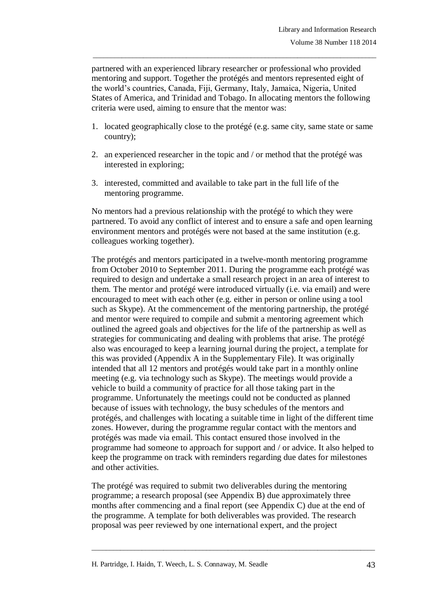partnered with an experienced library researcher or professional who provided mentoring and support. Together the protégés and mentors represented eight of the world's countries, Canada, Fiji, Germany, Italy, Jamaica, Nigeria, United States of America, and Trinidad and Tobago. In allocating mentors the following criteria were used, aiming to ensure that the mentor was:

\_\_\_\_\_\_\_\_\_\_\_\_\_\_\_\_\_\_\_\_\_\_\_\_\_\_\_\_\_\_\_\_\_\_\_\_\_\_\_\_\_\_\_\_\_\_\_\_\_\_\_\_\_\_\_\_\_\_\_\_\_\_\_\_\_\_\_\_\_\_\_\_\_\_\_\_\_\_\_

- 1. located geographically close to the protégé (e.g. same city, same state or same country);
- 2. an experienced researcher in the topic and / or method that the protégé was interested in exploring;
- 3. interested, committed and available to take part in the full life of the mentoring programme.

No mentors had a previous relationship with the protégé to which they were partnered. To avoid any conflict of interest and to ensure a safe and open learning environment mentors and protégés were not based at the same institution (e.g. colleagues working together).

The protégés and mentors participated in a twelve-month mentoring programme from October 2010 to September 2011. During the programme each protégé was required to design and undertake a small research project in an area of interest to them. The mentor and protégé were introduced virtually (i.e. via email) and were encouraged to meet with each other (e.g. either in person or online using a tool such as Skype). At the commencement of the mentoring partnership, the protégé and mentor were required to compile and submit a mentoring agreement which outlined the agreed goals and objectives for the life of the partnership as well as strategies for communicating and dealing with problems that arise. The protégé also was encouraged to keep a learning journal during the project, a template for this was provided (Appendix A in the Supplementary File). It was originally intended that all 12 mentors and protégés would take part in a monthly online meeting (e.g. via technology such as Skype). The meetings would provide a vehicle to build a community of practice for all those taking part in the programme. Unfortunately the meetings could not be conducted as planned because of issues with technology, the busy schedules of the mentors and protégés, and challenges with locating a suitable time in light of the different time zones. However, during the programme regular contact with the mentors and protégés was made via email. This contact ensured those involved in the programme had someone to approach for support and / or advice. It also helped to keep the programme on track with reminders regarding due dates for milestones and other activities.

The protégé was required to submit two deliverables during the mentoring programme; a research proposal (see Appendix B) due approximately three months after commencing and a final report (see Appendix C) due at the end of the programme. A template for both deliverables was provided. The research proposal was peer reviewed by one international expert, and the project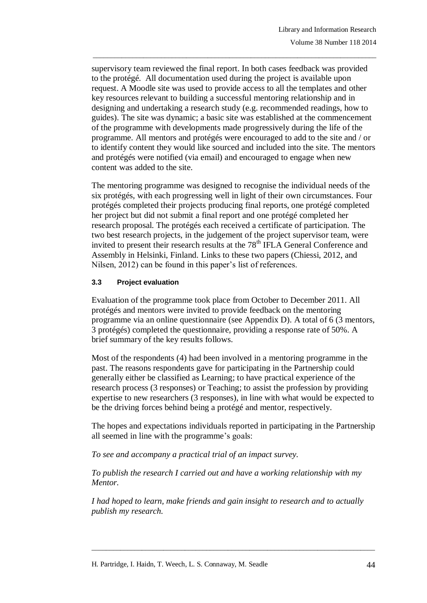supervisory team reviewed the final report. In both cases feedback was provided to the protégé. All documentation used during the project is available upon request. A Moodle site was used to provide access to all the templates and other key resources relevant to building a successful mentoring relationship and in designing and undertaking a research study (e.g. recommended readings, how to guides). The site was dynamic; a basic site was established at the commencement of the programme with developments made progressively during the life of the programme. All mentors and protégés were encouraged to add to the site and / or to identify content they would like sourced and included into the site. The mentors and protégés were notified (via email) and encouraged to engage when new content was added to the site.

\_\_\_\_\_\_\_\_\_\_\_\_\_\_\_\_\_\_\_\_\_\_\_\_\_\_\_\_\_\_\_\_\_\_\_\_\_\_\_\_\_\_\_\_\_\_\_\_\_\_\_\_\_\_\_\_\_\_\_\_\_\_\_\_\_\_\_\_\_\_\_\_\_\_\_\_\_\_\_

The mentoring programme was designed to recognise the individual needs of the six protégés, with each progressing well in light of their own circumstances. Four protégés completed their projects producing final reports, one protégé completed her project but did not submit a final report and one protégé completed her research proposal. The protégés each received a certificate of participation. The two best research projects, in the judgement of the project supervisor team, were invited to present their research results at the 78<sup>th</sup> IFLA General Conference and Assembly in Helsinki, Finland. Links to these two papers (Chiessi, 2012, and Nilsen, 2012) can be found in this paper's list of references.

# **3.3 Project evaluation**

Evaluation of the programme took place from October to December 2011. All protégés and mentors were invited to provide feedback on the mentoring programme via an online questionnaire (see Appendix D). A total of 6 (3 mentors, 3 protégés) completed the questionnaire, providing a response rate of 50%. A brief summary of the key results follows.

Most of the respondents (4) had been involved in a mentoring programme in the past. The reasons respondents gave for participating in the Partnership could generally either be classified as Learning; to have practical experience of the research process (3 responses) or Teaching; to assist the profession by providing expertise to new researchers (3 responses), in line with what would be expected to be the driving forces behind being a protégé and mentor, respectively.

The hopes and expectations individuals reported in participating in the Partnership all seemed in line with the programme's goals:

*To see and accompany a practical trial of an impact survey.*

*To publish the research I carried out and have a working relationship with my Mentor.*

*I had hoped to learn, make friends and gain insight to research and to actually publish my research.*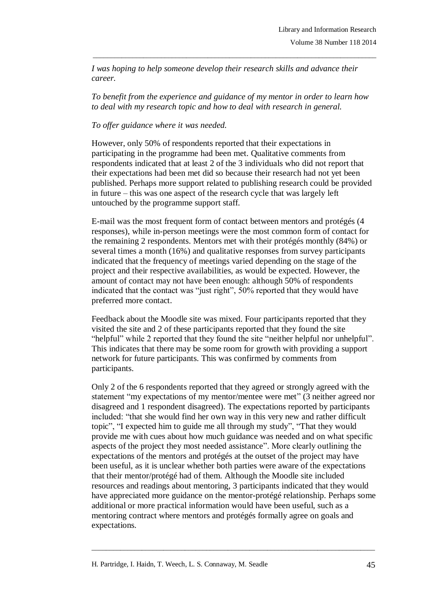*I was hoping to help someone develop their research skills and advance their career.*

*To benefit from the experience and guidance of my mentor in order to learn how to deal with my research topic and how to deal with research in general.*

\_\_\_\_\_\_\_\_\_\_\_\_\_\_\_\_\_\_\_\_\_\_\_\_\_\_\_\_\_\_\_\_\_\_\_\_\_\_\_\_\_\_\_\_\_\_\_\_\_\_\_\_\_\_\_\_\_\_\_\_\_\_\_\_\_\_\_\_\_\_\_\_\_\_\_\_\_\_\_

# *To offer guidance where it was needed.*

However, only 50% of respondents reported that their expectations in participating in the programme had been met. Qualitative comments from respondents indicated that at least 2 of the 3 individuals who did not report that their expectations had been met did so because their research had not yet been published. Perhaps more support related to publishing research could be provided in future – this was one aspect of the research cycle that was largely left untouched by the programme support staff.

E-mail was the most frequent form of contact between mentors and protégés (4 responses), while in-person meetings were the most common form of contact for the remaining 2 respondents. Mentors met with their protégés monthly (84%) or several times a month (16%) and qualitative responses from survey participants indicated that the frequency of meetings varied depending on the stage of the project and their respective availabilities, as would be expected. However, the amount of contact may not have been enough: although 50% of respondents indicated that the contact was "just right", 50% reported that they would have preferred more contact.

Feedback about the Moodle site was mixed. Four participants reported that they visited the site and 2 of these participants reported that they found the site "helpful" while 2 reported that they found the site "neither helpful nor unhelpful". This indicates that there may be some room for growth with providing a support network for future participants. This was confirmed by comments from participants.

Only 2 of the 6 respondents reported that they agreed or strongly agreed with the statement "my expectations of my mentor/mentee were met" (3 neither agreed nor disagreed and 1 respondent disagreed). The expectations reported by participants included: "that she would find her own way in this very new and rather difficult topic", "I expected him to guide me all through my study", "That they would provide me with cues about how much guidance was needed and on what specific aspects of the project they most needed assistance". More clearly outlining the expectations of the mentors and protégés at the outset of the project may have been useful, as it is unclear whether both parties were aware of the expectations that their mentor/protégé had of them. Although the Moodle site included resources and readings about mentoring, 3 participants indicated that they would have appreciated more guidance on the mentor-protégé relationship. Perhaps some additional or more practical information would have been useful, such as a mentoring contract where mentors and protégés formally agree on goals and expectations.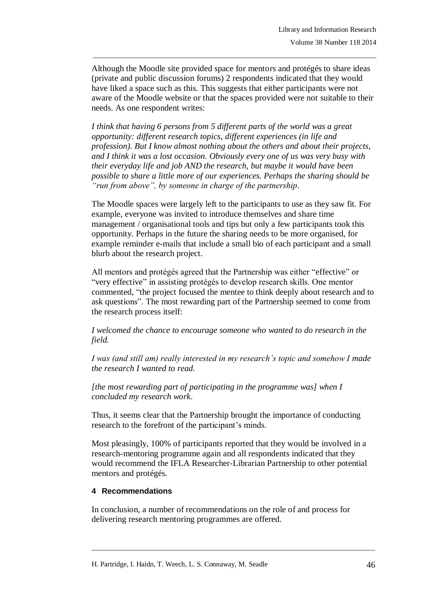Although the Moodle site provided space for mentors and protégés to share ideas (private and public discussion forums) 2 respondents indicated that they would have liked a space such as this. This suggests that either participants were not aware of the Moodle website or that the spaces provided were not suitable to their needs. As one respondent writes:

\_\_\_\_\_\_\_\_\_\_\_\_\_\_\_\_\_\_\_\_\_\_\_\_\_\_\_\_\_\_\_\_\_\_\_\_\_\_\_\_\_\_\_\_\_\_\_\_\_\_\_\_\_\_\_\_\_\_\_\_\_\_\_\_\_\_\_\_\_\_\_\_\_\_\_\_\_\_\_

*I think that having 6 persons from 5 different parts of the world was a great opportunity: different research topics, different experiences (in life and profession). But I know almost nothing about the others and about their projects, and I think it was a lost occasion. Obviously every one of us was very busy with their everyday life and job AND the research, but maybe it would have been possible to share a little more of our experiences. Perhaps the sharing should be "run from above", by someone in charge of the partnership*.

The Moodle spaces were largely left to the participants to use as they saw fit. For example, everyone was invited to introduce themselves and share time management / organisational tools and tips but only a few participants took this opportunity. Perhaps in the future the sharing needs to be more organised, for example reminder e-mails that include a small bio of each participant and a small blurb about the research project.

All mentors and protégés agreed that the Partnership was either "effective" or "very effective" in assisting protégés to develop research skills. One mentor commented, "the project focused the mentee to think deeply about research and to ask questions". The most rewarding part of the Partnership seemed to come from the research process itself:

*I welcomed the chance to encourage someone who wanted to do research in the field.*

*I was (and still am) really interested in my research's topic and somehow I made the research I wanted to read.*

*[the most rewarding part of participating in the programme was] when I concluded my research work*.

Thus, it seems clear that the Partnership brought the importance of conducting research to the forefront of the participant's minds.

Most pleasingly, 100% of participants reported that they would be involved in a research-mentoring programme again and all respondents indicated that they would recommend the IFLA Researcher-Librarian Partnership to other potential mentors and protégés.

# **4 Recommendations**

In conclusion, a number of recommendations on the role of and process for delivering research mentoring programmes are offered.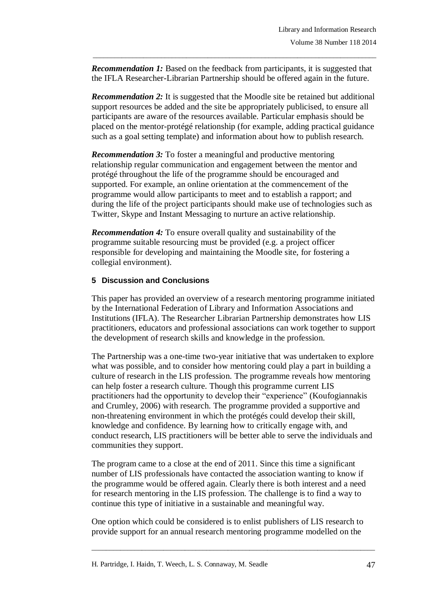*Recommendation 1:* Based on the feedback from participants, it is suggested that the IFLA Researcher-Librarian Partnership should be offered again in the future.

\_\_\_\_\_\_\_\_\_\_\_\_\_\_\_\_\_\_\_\_\_\_\_\_\_\_\_\_\_\_\_\_\_\_\_\_\_\_\_\_\_\_\_\_\_\_\_\_\_\_\_\_\_\_\_\_\_\_\_\_\_\_\_\_\_\_\_\_\_\_\_\_\_\_\_\_\_\_\_

*Recommendation 2:* It is suggested that the Moodle site be retained but additional support resources be added and the site be appropriately publicised, to ensure all participants are aware of the resources available. Particular emphasis should be placed on the mentor-protégé relationship (for example, adding practical guidance such as a goal setting template) and information about how to publish research.

*Recommendation 3:* To foster a meaningful and productive mentoring relationship regular communication and engagement between the mentor and protégé throughout the life of the programme should be encouraged and supported. For example, an online orientation at the commencement of the programme would allow participants to meet and to establish a rapport; and during the life of the project participants should make use of technologies such as Twitter, Skype and Instant Messaging to nurture an active relationship.

*Recommendation 4:* To ensure overall quality and sustainability of the programme suitable resourcing must be provided (e.g. a project officer responsible for developing and maintaining the Moodle site, for fostering a collegial environment).

#### **5 Discussion and Conclusions**

This paper has provided an overview of a research mentoring programme initiated by the International Federation of Library and Information Associations and Institutions (IFLA). The Researcher Librarian Partnership demonstrates how LIS practitioners, educators and professional associations can work together to support the development of research skills and knowledge in the profession.

The Partnership was a one-time two-year initiative that was undertaken to explore what was possible, and to consider how mentoring could play a part in building a culture of research in the LIS profession. The programme reveals how mentoring can help foster a research culture. Though this programme current LIS practitioners had the opportunity to develop their "experience" (Koufogiannakis and Crumley, 2006) with research. The programme provided a supportive and non-threatening environment in which the protégés could develop their skill, knowledge and confidence. By learning how to critically engage with, and conduct research, LIS practitioners will be better able to serve the individuals and communities they support.

The program came to a close at the end of 2011. Since this time a significant number of LIS professionals have contacted the association wanting to know if the programme would be offered again. Clearly there is both interest and a need for research mentoring in the LIS profession. The challenge is to find a way to continue this type of initiative in a sustainable and meaningful way.

One option which could be considered is to enlist publishers of LIS research to provide support for an annual research mentoring programme modelled on the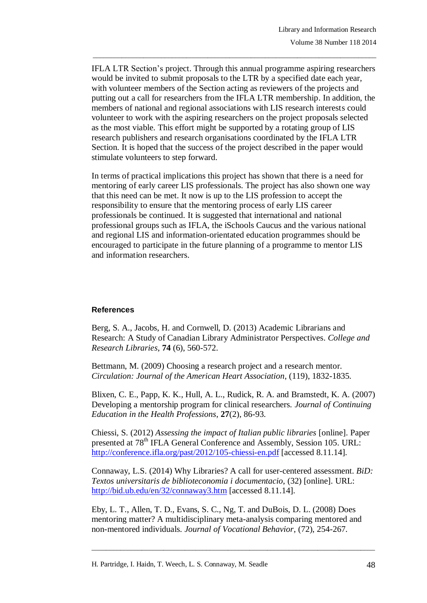IFLA LTR Section's project. Through this annual programme aspiring researchers would be invited to submit proposals to the LTR by a specified date each year, with volunteer members of the Section acting as reviewers of the projects and putting out a call for researchers from the IFLA LTR membership. In addition, the members of national and regional associations with LIS research interests could volunteer to work with the aspiring researchers on the project proposals selected as the most viable. This effort might be supported by a rotating group of LIS research publishers and research organisations coordinated by the IFLA LTR Section. It is hoped that the success of the project described in the paper would stimulate volunteers to step forward.

\_\_\_\_\_\_\_\_\_\_\_\_\_\_\_\_\_\_\_\_\_\_\_\_\_\_\_\_\_\_\_\_\_\_\_\_\_\_\_\_\_\_\_\_\_\_\_\_\_\_\_\_\_\_\_\_\_\_\_\_\_\_\_\_\_\_\_\_\_\_\_\_\_\_\_\_\_\_\_

In terms of practical implications this project has shown that there is a need for mentoring of early career LIS professionals. The project has also shown one way that this need can be met. It now is up to the LIS profession to accept the responsibility to ensure that the mentoring process of early LIS career professionals be continued. It is suggested that international and national professional groups such as IFLA, the iSchools Caucus and the various national and regional LIS and information-orientated education programmes should be encouraged to participate in the future planning of a programme to mentor LIS and information researchers.

# **References**

Berg, S. A., Jacobs, H. and Cornwell, D. (2013) Academic Librarians and Research: A Study of Canadian Library Administrator Perspectives. *College and Research Libraries*, **74** (6), 560-572.

Bettmann, M. (2009) Choosing a research project and a research mentor. *Circulation: Journal of the American Heart Association*, (119), 1832-1835.

Blixen, C. E., Papp, K. K., Hull, A. L., Rudick, R. A. and Bramstedt, K. A. (2007) Developing a mentorship program for clinical researchers. *Journal of Continuing Education in the Health Professions*, **27**(2), 86-93.

Chiessi, S. (2012) *Assessing the impact of Italian public libraries* [online]. Paper presented at 78<sup>th</sup> IFLA General Conference and Assembly, Session 105. URL: <http://conference.ifla.org/past/2012/105-chiessi-en.pdf> [accessed 8.11.14].

Connaway, L.S. (2014) Why Libraries? A call for user-centered assessment. *BiD: Textos universitaris de biblioteconomia i documentacio*, (32) [online]. URL: <http://bid.ub.edu/en/32/connaway3.htm> [accessed 8.11.14].

Eby, L. T., Allen, T. D., Evans, S. C., Ng, T. and DuBois, D. L. (2008) Does mentoring matter? A multidisciplinary meta-analysis comparing mentored and non-mentored individuals. *Journal of Vocational Behavior*, (72), 254-267.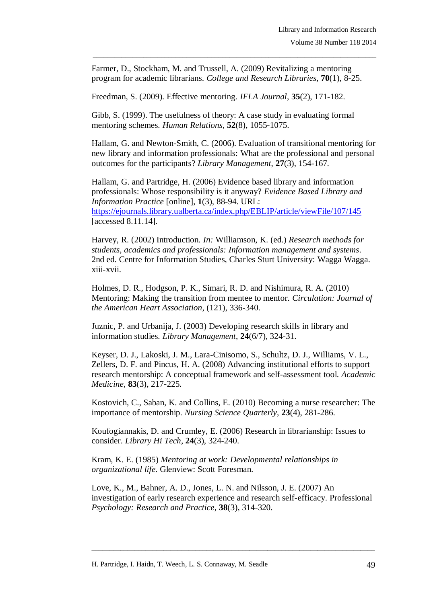Farmer, D., Stockham, M. and Trussell, A. (2009) Revitalizing a mentoring program for academic librarians. *College and Research Libraries*, **70**(1), 8-25.

\_\_\_\_\_\_\_\_\_\_\_\_\_\_\_\_\_\_\_\_\_\_\_\_\_\_\_\_\_\_\_\_\_\_\_\_\_\_\_\_\_\_\_\_\_\_\_\_\_\_\_\_\_\_\_\_\_\_\_\_\_\_\_\_\_\_\_\_\_\_\_\_\_\_\_\_\_\_\_

Freedman, S. (2009). Effective mentoring. *IFLA Journal*, **35**(2), 171-182.

Gibb, S. (1999). The usefulness of theory: A case study in evaluating formal mentoring schemes. *Human Relations*, **52**(8), 1055-1075.

Hallam, G. and Newton-Smith, C. (2006). Evaluation of transitional mentoring for new library and information professionals: What are the professional and personal outcomes for the participants? *Library Management*, **27**(3), 154-167.

Hallam, G. and Partridge, H. (2006) Evidence based library and information professionals: Whose responsibility is it anyway? *Evidence Based Library and Information Practice* [online], **1**(3), 88-94. URL: <https://ejournals.library.ualberta.ca/index.php/EBLIP/article/viewFile/107/145> [accessed 8.11.14].

Harvey, R. (2002) Introduction. *In:* Williamson, K. (ed.) *Research methods for students, academics and professionals: Information management and systems*. 2nd ed. Centre for Information Studies, Charles Sturt University: Wagga Wagga. xiii-xvii.

Holmes, D. R., Hodgson, P. K., Simari, R. D. and Nishimura, R. A. (2010) Mentoring: Making the transition from mentee to mentor. *Circulation: Journal of the American Heart Association*, (121), 336-340.

Juznic, P. and Urbanija, J. (2003) Developing research skills in library and information studies. *Library Management*, **24**(6/7), 324-31.

Keyser, D. J., Lakoski, J. M., Lara-Cinisomo, S., Schultz, D. J., Williams, V. L., Zellers, D. F. and Pincus, H. A. (2008) Advancing institutional efforts to support research mentorship: A conceptual framework and self-assessment tool. *Academic Medicine*, **83**(3), 217-225.

Kostovich, C., Saban, K. and Collins, E. (2010) Becoming a nurse researcher: The importance of mentorship. *Nursing Science Quarterly*, **23**(4), 281-286.

Koufogiannakis, D. and Crumley, E. (2006) Research in librarianship: Issues to consider. *Library Hi Tech*, **24**(3), 324-240.

Kram, K. E. (1985) *Mentoring at work: Developmental relationships in organizational life*. Glenview: Scott Foresman.

Love, K., M., Bahner, A. D., Jones, L. N. and Nilsson, J. E. (2007) An investigation of early research experience and research self-efficacy. Professional *Psychology: Research and Practice*, **38**(3), 314-320.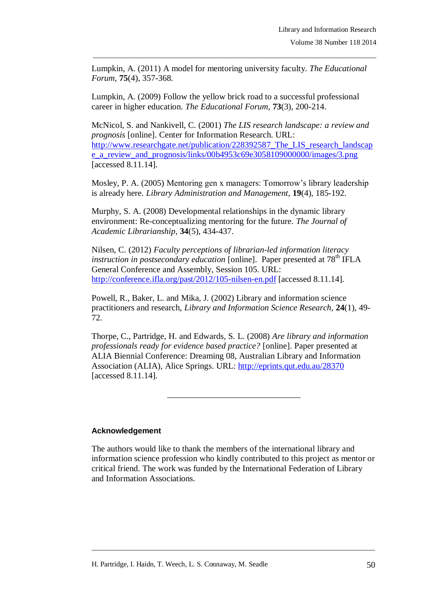Lumpkin, A. (2011) A model for mentoring university faculty. *The Educational Forum*, **75**(4), 357-368.

\_\_\_\_\_\_\_\_\_\_\_\_\_\_\_\_\_\_\_\_\_\_\_\_\_\_\_\_\_\_\_\_\_\_\_\_\_\_\_\_\_\_\_\_\_\_\_\_\_\_\_\_\_\_\_\_\_\_\_\_\_\_\_\_\_\_\_\_\_\_\_\_\_\_\_\_\_\_\_

Lumpkin, A. (2009) Follow the yellow brick road to a successful professional career in higher education. *The Educational Forum*, **73**(3), 200-214.

McNicol, S. and Nankivell, C. (2001) *The LIS research landscape: a review and prognosis* [online]. Center for Information Research. URL: [http://www.researchgate.net/publication/228392587\\_The\\_LIS\\_research\\_landscap](http://www.researchgate.net/publication/228392587_The_LIS_research_landscape_a_review_and_prognosis/links/00b4953c69e3058109000000/images/3.png) e\_a\_review\_and\_prognosis/links/00b4953c69e3058109000000/images/3.png [accessed 8.11.14].

Mosley, P. A. (2005) Mentoring gen x managers: Tomorrow's library leadership is already here. *Library Administration and Management*, **19**(4), 185-192.

Murphy, S. A. (2008) Developmental relationships in the dynamic library environment: Re-conceptualizing mentoring for the future. *The Journal of Academic Librarianship*, **34**(5), 434-437.

Nilsen, C. (2012) *Faculty perceptions of librarian-led information literacy instruction in postsecondary education* [online]. Paper presented at 78<sup>th</sup> IFLA General Conference and Assembly, Session 105. URL: <http://conference.ifla.org/past/2012/105-nilsen-en.pdf> [accessed 8.11.14].

Powell, R., Baker, L. and Mika, J. (2002) Library and information science practitioners and research, *Library and Information Science Research,* **24**(1), 49- 72.

Thorpe, C., Partridge, H. and Edwards, S. L. (2008) *Are library and information professionals ready for evidence based practice?* [online]. Paper presented at ALIA Biennial Conference: Dreaming 08, Australian Library and Information Association (ALIA), Alice Springs. URL:<http://eprints.qut.edu.au/28370> [accessed 8.11.14].

\_\_\_\_\_\_\_\_\_\_\_\_\_\_\_\_\_\_\_\_\_\_\_\_\_\_\_\_\_\_\_

**Acknowledgement**

The authors would like to thank the members of the international library and information science profession who kindly contributed to this project as mentor or critical friend. The work was funded by the International Federation of Library and Information Associations.